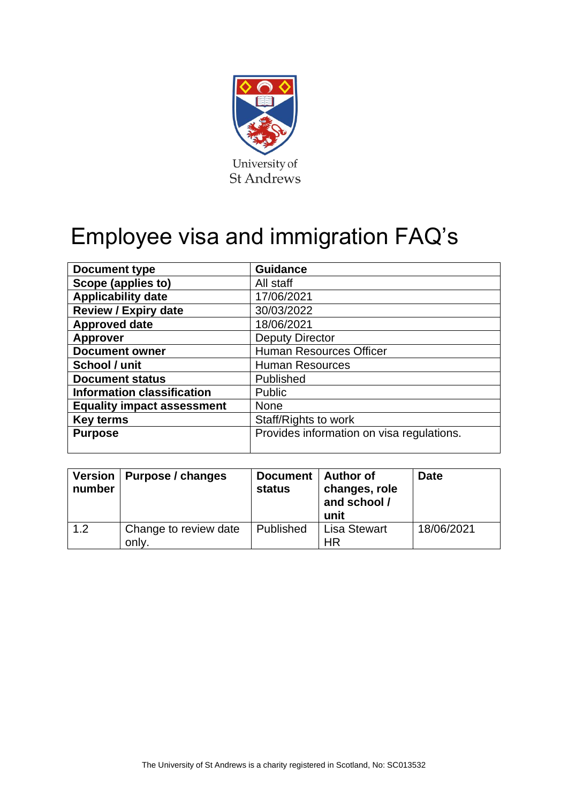

# Employee visa and immigration FAQ's

| <b>Document type</b>              | <b>Guidance</b>                           |  |  |  |
|-----------------------------------|-------------------------------------------|--|--|--|
| Scope (applies to)                | All staff                                 |  |  |  |
| <b>Applicability date</b>         | 17/06/2021                                |  |  |  |
| <b>Review / Expiry date</b>       | 30/03/2022                                |  |  |  |
| <b>Approved date</b>              | 18/06/2021                                |  |  |  |
| <b>Approver</b>                   | <b>Deputy Director</b>                    |  |  |  |
| <b>Document owner</b>             | <b>Human Resources Officer</b>            |  |  |  |
| School / unit                     | <b>Human Resources</b>                    |  |  |  |
| <b>Document status</b>            | Published                                 |  |  |  |
| <b>Information classification</b> | Public                                    |  |  |  |
| <b>Equality impact assessment</b> | <b>None</b>                               |  |  |  |
| <b>Key terms</b>                  | Staff/Rights to work                      |  |  |  |
| <b>Purpose</b>                    | Provides information on visa regulations. |  |  |  |
|                                   |                                           |  |  |  |

| number | Version   Purpose / changes    | Document   Author of<br>status | changes, role<br>and school /<br>unit | <b>Date</b> |
|--------|--------------------------------|--------------------------------|---------------------------------------|-------------|
| 1.2    | Change to review date<br>only. | Published                      | <b>Lisa Stewart</b><br>HR             | 18/06/2021  |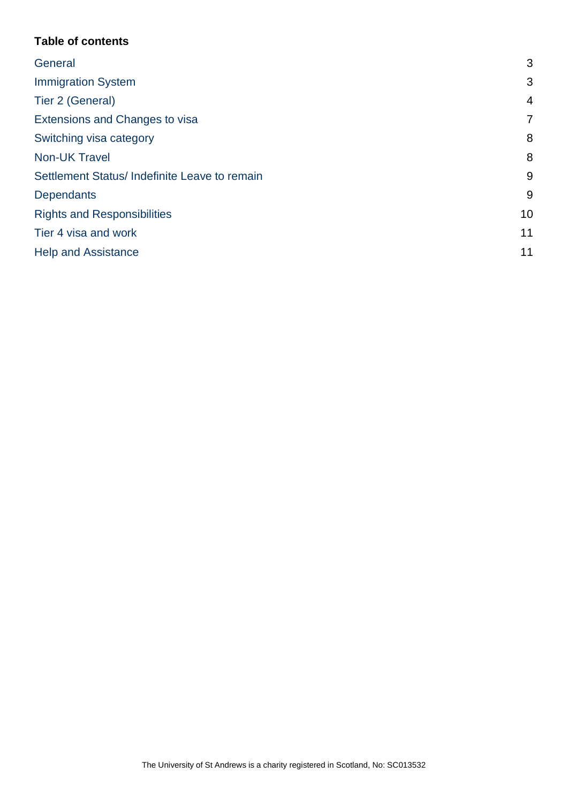# **Table of contents**

| 3              |
|----------------|
| 3              |
| $\overline{4}$ |
| $\overline{7}$ |
| 8              |
| 8              |
| 9              |
| 9              |
| 10             |
| 11             |
| 11             |
|                |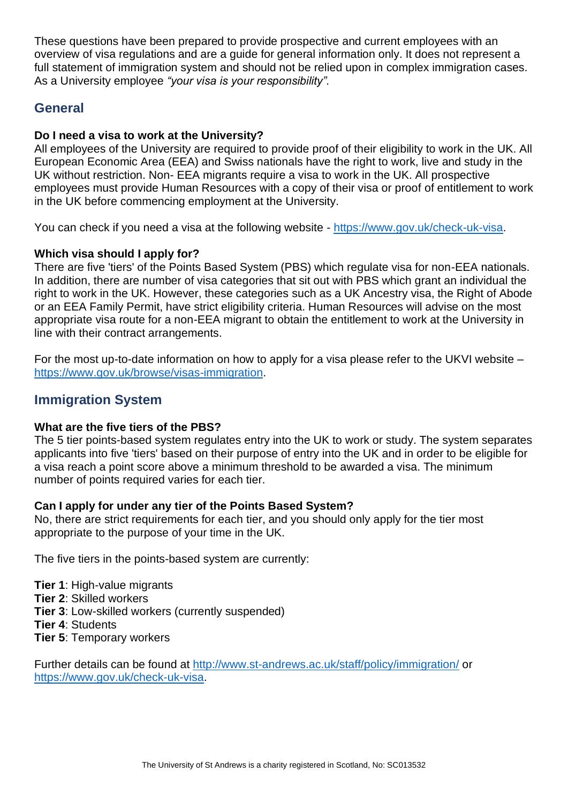These questions have been prepared to provide prospective and current employees with an overview of visa regulations and are a guide for general information only. It does not represent a full statement of immigration system and should not be relied upon in complex immigration cases. As a University employee *"your visa is your responsibility".* 

# <span id="page-2-0"></span>**General**

# **Do I need a visa to work at the University?**

All employees of the University are required to provide proof of their eligibility to work in the UK. All European Economic Area (EEA) and Swiss nationals have the right to work, live and study in the UK without restriction. Non- EEA migrants require a visa to work in the UK. All prospective employees must provide Human Resources with a copy of their visa or proof of entitlement to work in the UK before commencing employment at the University.

You can check if you need a visa at the following website - [https://www.gov.uk/check-uk-visa.](https://www.gov.uk/check-uk-visa)

#### **Which visa should I apply for?**

There are five 'tiers' of the Points Based System (PBS) which regulate visa for non-EEA nationals. In addition, there are number of visa categories that sit out with PBS which grant an individual the right to work in the UK. However, these categories such as a UK Ancestry visa, the Right of Abode or an EEA Family Permit, have strict eligibility criteria. Human Resources will advise on the most appropriate visa route for a non-EEA migrant to obtain the entitlement to work at the University in line with their contract arrangements.

For the most up-to-date information on how to apply for a visa please refer to the UKVI website – [https://www.gov.uk/browse/visas-immigration.](https://www.gov.uk/browse/visas-immigration)

# <span id="page-2-1"></span>**Immigration System**

#### **What are the five tiers of the PBS?**

The 5 tier points-based system regulates entry into the UK to work or study. The system separates applicants into five 'tiers' based on their purpose of entry into the UK and in order to be eligible for a visa reach a point score above a minimum threshold to be awarded a visa. The minimum number of points required varies for each tier.

#### **Can I apply for under any tier of the Points Based System?**

No, there are strict requirements for each tier, and you should only apply for the tier most appropriate to the purpose of your time in the UK.

The five tiers in the points-based system are currently:

**Tier 1**: High-value migrants

- **Tier 2**: Skilled workers
- **Tier 3**: Low-skilled workers (currently suspended)
- **Tier 4**: Students
- **Tier 5**: Temporary workers

Further details can be found at<http://www.st-andrews.ac.uk/staff/policy/immigration/> or [https://www.gov.uk/check-uk-visa.](https://www.gov.uk/check-uk-visa)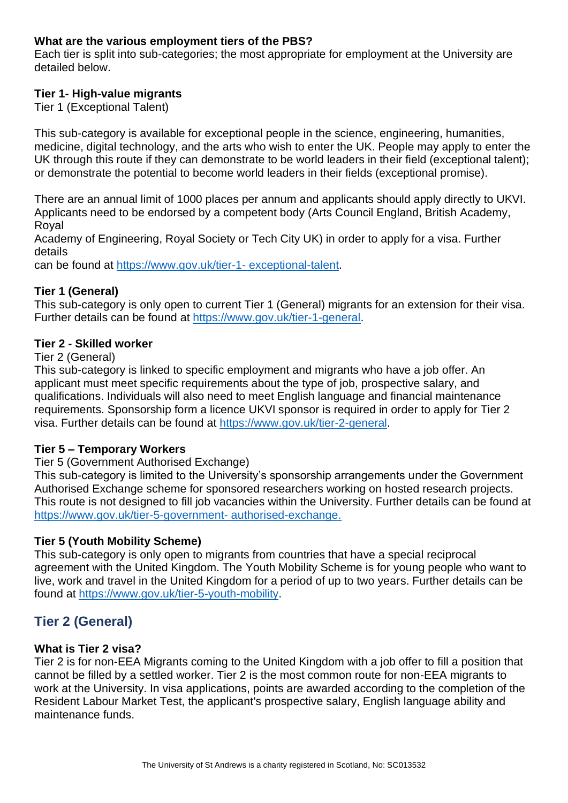# **What are the various employment tiers of the PBS?**

Each tier is split into sub-categories; the most appropriate for employment at the University are detailed below.

# **Tier 1- High-value migrants**

Tier 1 (Exceptional Talent)

This sub-category is available for exceptional people in the science, engineering, humanities, medicine, digital technology, and the arts who wish to enter the UK. People may apply to enter the UK through this route if they can demonstrate to be world leaders in their field (exceptional talent); or demonstrate the potential to become world leaders in their fields (exceptional promise).

There are an annual limit of 1000 places per annum and applicants should apply directly to UKVI. Applicants need to be endorsed by a competent body (Arts Council England, British Academy, Royal

Academy of Engineering, Royal Society or Tech City UK) in order to apply for a visa. Further details

can be found at [https://www.gov.uk/tier-1-](https://www.gov.uk/tier-1-%20exceptional-talent) exceptional-talent.

# **Tier 1 (General)**

This sub-category is only open to current Tier 1 (General) migrants for an extension for their visa. Further details can be found at [https://www.gov.uk/tier-1-general.](https://www.gov.uk/tier-1-general)

# **Tier 2 - Skilled worker**

#### Tier 2 (General)

This sub-category is linked to specific employment and migrants who have a job offer. An applicant must meet specific requirements about the type of job, prospective salary, and qualifications. Individuals will also need to meet English language and financial maintenance requirements. Sponsorship form a licence UKVI sponsor is required in order to apply for Tier 2 visa. Further details can be found at [https://www.gov.uk/tier-2-general.](https://www.gov.uk/tier-2-general)

# **Tier 5 – Temporary Workers**

#### Tier 5 (Government Authorised Exchange)

This sub-category is limited to the University's sponsorship arrangements under the Government Authorised Exchange scheme for sponsored researchers working on hosted research projects. This route is not designed to fill job vacancies within the University. Further details can be found at [https://www.gov.uk/tier-5-government-](https://www.gov.uk/tier-5-government-%20authorised-exchange.) authorised-exchange.

#### **Tier 5 (Youth Mobility Scheme)**

This sub-category is only open to migrants from countries that have a special reciprocal agreement with the United Kingdom. The Youth Mobility Scheme is for young people who want to live, work and travel in the United Kingdom for a period of up to two years. Further details can be found at [https://www.gov.uk/tier-5-youth-mobility.](https://www.gov.uk/tier-5-youth-mobility)

# <span id="page-3-0"></span>**Tier 2 (General)**

#### **What is Tier 2 visa?**

Tier 2 is for non-EEA Migrants coming to the United Kingdom with a job offer to fill a position that cannot be filled by a settled worker. Tier 2 is the most common route for non-EEA migrants to work at the University. In visa applications, points are awarded according to the completion of the Resident Labour Market Test, the applicant's prospective salary, English language ability and maintenance funds.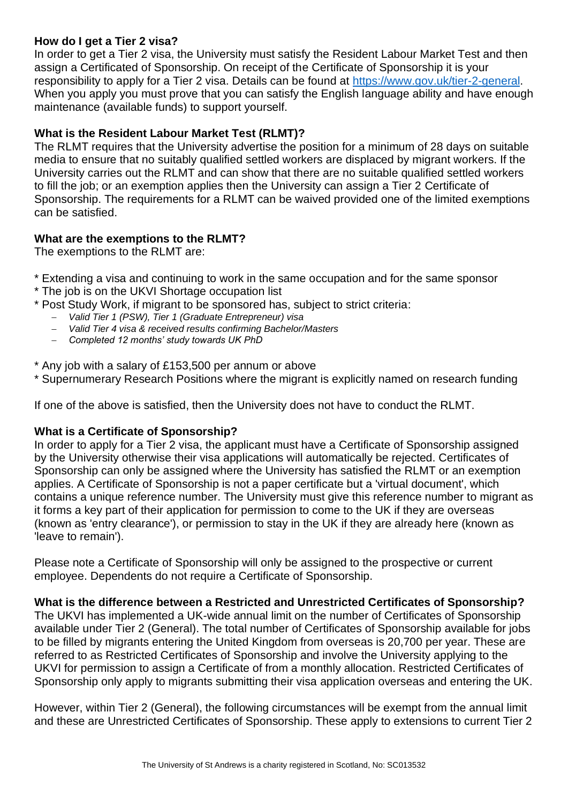# **How do I get a Tier 2 visa?**

In order to get a Tier 2 visa, the University must satisfy the Resident Labour Market Test and then assign a Certificated of Sponsorship. On receipt of the Certificate of Sponsorship it is your responsibility to apply for a Tier 2 visa. Details can be found at [https://www.gov.uk/tier-2-general.](https://www.gov.uk/tier-2-general) When you apply you must prove that you can satisfy the English language ability and have enough maintenance (available funds) to support yourself.

# **What is the Resident Labour Market Test (RLMT)?**

The RLMT requires that the University advertise the position for a minimum of 28 days on suitable media to ensure that no suitably qualified settled workers are displaced by migrant workers. If the University carries out the RLMT and can show that there are no suitable qualified settled workers to fill the job; or an exemption applies then the University can assign a Tier 2 Certificate of Sponsorship. The requirements for a RLMT can be waived provided one of the limited exemptions can be satisfied.

# **What are the exemptions to the RLMT?**

The exemptions to the RLMT are:

- \* Extending a visa and continuing to work in the same occupation and for the same sponsor
- \* The job is on the UKVI Shortage occupation list
- \* Post Study Work, if migrant to be sponsored has, subject to strict criteria:
	- − *Valid Tier 1 (PSW), Tier 1 (Graduate Entrepreneur) visa*
	- − *Valid Tier 4 visa & received results confirming Bachelor/Masters*
	- − *Completed 12 months' study towards UK PhD*

\* Any job with a salary of £153,500 per annum or above

\* Supernumerary Research Positions where the migrant is explicitly named on research funding

If one of the above is satisfied, then the University does not have to conduct the RLMT.

#### **What is a Certificate of Sponsorship?**

In order to apply for a Tier 2 visa, the applicant must have a Certificate of Sponsorship assigned by the University otherwise their visa applications will automatically be rejected. Certificates of Sponsorship can only be assigned where the University has satisfied the RLMT or an exemption applies. A Certificate of Sponsorship is not a paper certificate but a 'virtual document', which contains a unique reference number. The University must give this reference number to migrant as it forms a key part of their application for permission to come to the UK if they are overseas (known as 'entry clearance'), or permission to stay in the UK if they are already here (known as 'leave to remain').

Please note a Certificate of Sponsorship will only be assigned to the prospective or current employee. Dependents do not require a Certificate of Sponsorship.

**What is the difference between a Restricted and Unrestricted Certificates of Sponsorship?** 

The UKVI has implemented a UK-wide annual limit on the number of Certificates of Sponsorship available under Tier 2 (General). The total number of Certificates of Sponsorship available for jobs to be filled by migrants entering the United Kingdom from overseas is 20,700 per year. These are referred to as Restricted Certificates of Sponsorship and involve the University applying to the UKVI for permission to assign a Certificate of from a monthly allocation. Restricted Certificates of Sponsorship only apply to migrants submitting their visa application overseas and entering the UK.

However, within Tier 2 (General), the following circumstances will be exempt from the annual limit and these are Unrestricted Certificates of Sponsorship. These apply to extensions to current Tier 2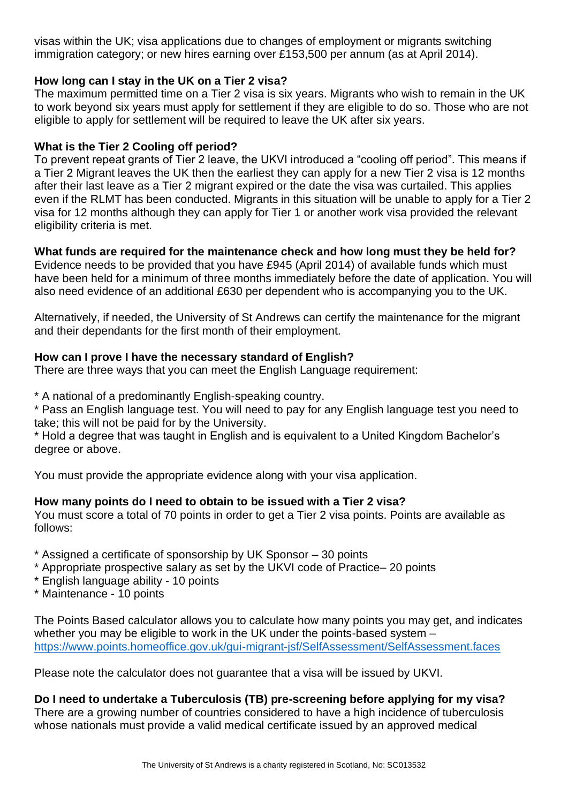visas within the UK; visa applications due to changes of employment or migrants switching immigration category; or new hires earning over £153,500 per annum (as at April 2014).

# **How long can I stay in the UK on a Tier 2 visa?**

The maximum permitted time on a Tier 2 visa is six years. Migrants who wish to remain in the UK to work beyond six years must apply for settlement if they are eligible to do so. Those who are not eligible to apply for settlement will be required to leave the UK after six years.

# **What is the Tier 2 Cooling off period?**

To prevent repeat grants of Tier 2 leave, the UKVI introduced a "cooling off period". This means if a Tier 2 Migrant leaves the UK then the earliest they can apply for a new Tier 2 visa is 12 months after their last leave as a Tier 2 migrant expired or the date the visa was curtailed. This applies even if the RLMT has been conducted. Migrants in this situation will be unable to apply for a Tier 2 visa for 12 months although they can apply for Tier 1 or another work visa provided the relevant eligibility criteria is met.

# **What funds are required for the maintenance check and how long must they be held for?**

Evidence needs to be provided that you have £945 (April 2014) of available funds which must have been held for a minimum of three months immediately before the date of application. You will also need evidence of an additional £630 per dependent who is accompanying you to the UK.

Alternatively, if needed, the University of St Andrews can certify the maintenance for the migrant and their dependants for the first month of their employment.

#### **How can I prove I have the necessary standard of English?**

There are three ways that you can meet the English Language requirement:

\* A national of a predominantly English-speaking country.

\* Pass an English language test. You will need to pay for any English language test you need to take; this will not be paid for by the University.

\* Hold a degree that was taught in English and is equivalent to a United Kingdom Bachelor's degree or above.

You must provide the appropriate evidence along with your visa application.

#### **How many points do I need to obtain to be issued with a Tier 2 visa?**

You must score a total of 70 points in order to get a Tier 2 visa points. Points are available as follows:

- \* Assigned a certificate of sponsorship by UK Sponsor 30 points
- \* Appropriate prospective salary as set by the UKVI code of Practice– 20 points
- \* English language ability 10 points
- \* Maintenance 10 points

The Points Based calculator allows you to calculate how many points you may get, and indicates whether you may be eligible to work in the UK under the points-based system – <https://www.points.homeoffice.gov.uk/gui-migrant-jsf/SelfAssessment/SelfAssessment.faces>

Please note the calculator does not guarantee that a visa will be issued by UKVI.

**Do I need to undertake a Tuberculosis (TB) pre-screening before applying for my visa?**  There are a growing number of countries considered to have a high incidence of tuberculosis whose nationals must provide a valid medical certificate issued by an approved medical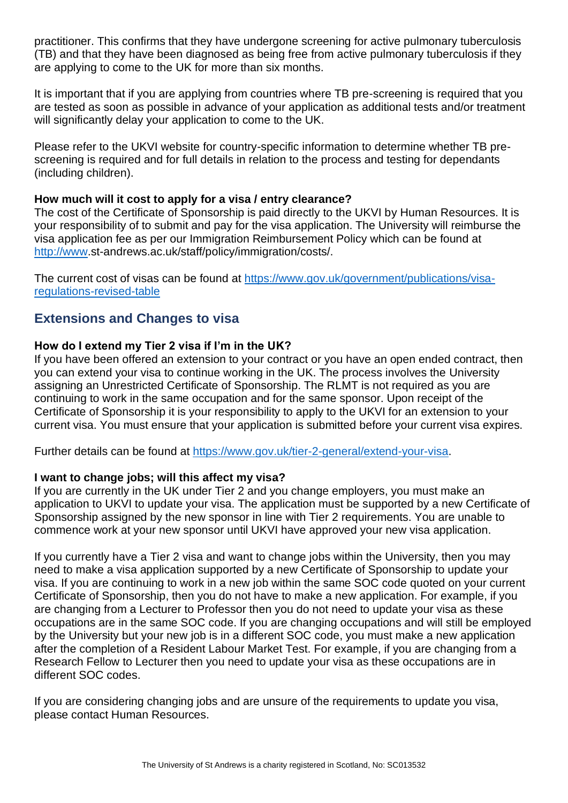practitioner. This confirms that they have undergone screening for active pulmonary tuberculosis (TB) and that they have been diagnosed as being free from active pulmonary tuberculosis if they are applying to come to the UK for more than six months.

It is important that if you are applying from countries where TB pre-screening is required that you are tested as soon as possible in advance of your application as additional tests and/or treatment will significantly delay your application to come to the UK.

Please refer to the UKVI website for country-specific information to determine whether TB prescreening is required and for full details in relation to the process and testing for dependants (including children).

#### **How much will it cost to apply for a visa / entry clearance?**

The cost of the Certificate of Sponsorship is paid directly to the UKVI by Human Resources. It is your responsibility of to submit and pay for the visa application. The University will reimburse the visa application fee as per our Immigration Reimbursement Policy which can be found at [http://www.](http://www/)st-andrews.ac.uk/staff/policy/immigration/costs/.

The current cost of visas can be found at [https://www.gov.uk/government/publications/visa](https://www.gov.uk/government/publications/visa-regulations-revised-table)[regulations-revised-table](https://www.gov.uk/government/publications/visa-regulations-revised-table)

# <span id="page-6-0"></span>**Extensions and Changes to visa**

#### **How do I extend my Tier 2 visa if I'm in the UK?**

If you have been offered an extension to your contract or you have an open ended contract, then you can extend your visa to continue working in the UK. The process involves the University assigning an Unrestricted Certificate of Sponsorship. The RLMT is not required as you are continuing to work in the same occupation and for the same sponsor. Upon receipt of the Certificate of Sponsorship it is your responsibility to apply to the UKVI for an extension to your current visa. You must ensure that your application is submitted before your current visa expires.

Further details can be found at [https://www.gov.uk/tier-2-general/extend-your-visa.](https://www.gov.uk/tier-2-general/extend-your-visa)

#### **I want to change jobs; will this affect my visa?**

If you are currently in the UK under Tier 2 and you change employers, you must make an application to UKVI to update your visa. The application must be supported by a new Certificate of Sponsorship assigned by the new sponsor in line with Tier 2 requirements. You are unable to commence work at your new sponsor until UKVI have approved your new visa application.

If you currently have a Tier 2 visa and want to change jobs within the University, then you may need to make a visa application supported by a new Certificate of Sponsorship to update your visa. If you are continuing to work in a new job within the same SOC code quoted on your current Certificate of Sponsorship, then you do not have to make a new application. For example, if you are changing from a Lecturer to Professor then you do not need to update your visa as these occupations are in the same SOC code. If you are changing occupations and will still be employed by the University but your new job is in a different SOC code, you must make a new application after the completion of a Resident Labour Market Test. For example, if you are changing from a Research Fellow to Lecturer then you need to update your visa as these occupations are in different SOC codes.

If you are considering changing jobs and are unsure of the requirements to update you visa, please contact Human Resources.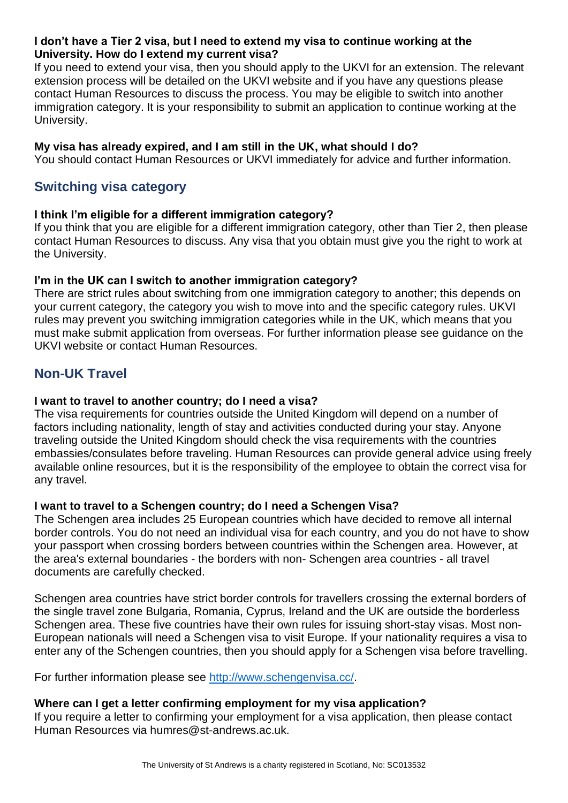### **I don't have a Tier 2 visa, but I need to extend my visa to continue working at the University. How do I extend my current visa?**

If you need to extend your visa, then you should apply to the UKVI for an extension. The relevant extension process will be detailed on the UKVI website and if you have any questions please contact Human Resources to discuss the process. You may be eligible to switch into another immigration category. It is your responsibility to submit an application to continue working at the University.

# **My visa has already expired, and I am still in the UK, what should I do?**

You should contact Human Resources or UKVI immediately for advice and further information.

# <span id="page-7-0"></span>**Switching visa category**

#### **I think I'm eligible for a different immigration category?**

If you think that you are eligible for a different immigration category, other than Tier 2, then please contact Human Resources to discuss. Any visa that you obtain must give you the right to work at the University.

# **I'm in the UK can I switch to another immigration category?**

There are strict rules about switching from one immigration category to another; this depends on your current category, the category you wish to move into and the specific category rules. UKVI rules may prevent you switching immigration categories while in the UK, which means that you must make submit application from overseas. For further information please see guidance on the UKVI website or contact Human Resources.

# <span id="page-7-1"></span>**Non-UK Travel**

# **I want to travel to another country; do I need a visa?**

The visa requirements for countries outside the United Kingdom will depend on a number of factors including nationality, length of stay and activities conducted during your stay. Anyone traveling outside the United Kingdom should check the visa requirements with the countries embassies/consulates before traveling. Human Resources can provide general advice using freely available online resources, but it is the responsibility of the employee to obtain the correct visa for any travel.

#### **I want to travel to a Schengen country; do I need a Schengen Visa?**

The Schengen area includes 25 European countries which have decided to remove all internal border controls. You do not need an individual visa for each country, and you do not have to show your passport when crossing borders between countries within the Schengen area. However, at the area's external boundaries - the borders with non- Schengen area countries - all travel documents are carefully checked.

Schengen area countries have strict border controls for travellers crossing the external borders of the single travel zone Bulgaria, Romania, Cyprus, Ireland and the UK are outside the borderless Schengen area. These five countries have their own rules for issuing short-stay visas. Most non-European nationals will need a Schengen visa to visit Europe. If your nationality requires a visa to enter any of the Schengen countries, then you should apply for a Schengen visa before travelling.

For further information please see [http://www.schengenvisa.cc/.](http://www.schengenvisa.cc/)

#### **Where can I get a letter confirming employment for my visa application?**

If you require a letter to confirming your employment for a visa application, then please contact Human Resources via humres@st-andrews.ac.uk.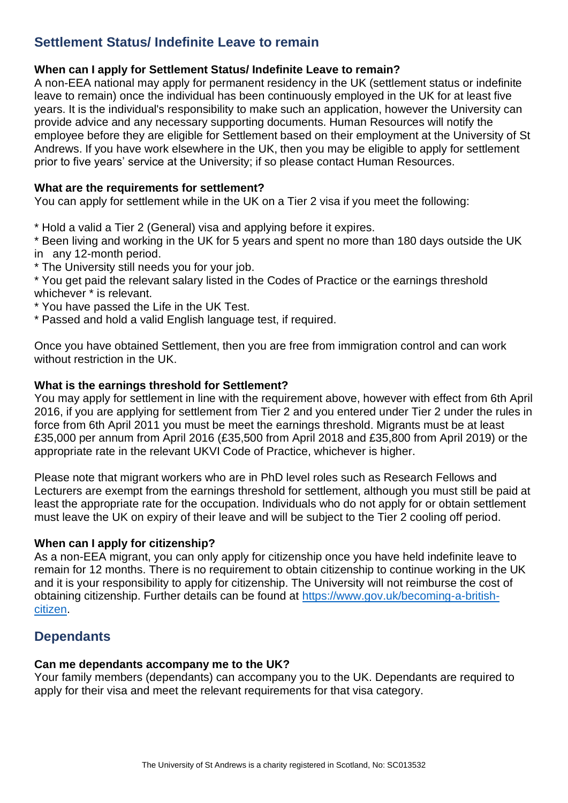# <span id="page-8-0"></span>**Settlement Status/ Indefinite Leave to remain**

# **When can I apply for Settlement Status/ Indefinite Leave to remain?**

A non-EEA national may apply for permanent residency in the UK (settlement status or indefinite leave to remain) once the individual has been continuously employed in the UK for at least five years. It is the individual's responsibility to make such an application, however the University can provide advice and any necessary supporting documents. Human Resources will notify the employee before they are eligible for Settlement based on their employment at the University of St Andrews. If you have work elsewhere in the UK, then you may be eligible to apply for settlement prior to five years' service at the University; if so please contact Human Resources.

#### **What are the requirements for settlement?**

You can apply for settlement while in the UK on a Tier 2 visa if you meet the following:

\* Hold a valid a Tier 2 (General) visa and applying before it expires.

\* Been living and working in the UK for 5 years and spent no more than 180 days outside the UK in any 12-month period.

\* The University still needs you for your job.

\* You get paid the relevant salary listed in the Codes of Practice or the earnings threshold whichever \* is relevant.

- \* You have passed the Life in the UK Test.
- \* Passed and hold a valid English language test, if required.

Once you have obtained Settlement, then you are free from immigration control and can work without restriction in the UK.

#### **What is the earnings threshold for Settlement?**

You may apply for settlement in line with the requirement above, however with effect from 6th April 2016, if you are applying for settlement from Tier 2 and you entered under Tier 2 under the rules in force from 6th April 2011 you must be meet the earnings threshold. Migrants must be at least £35,000 per annum from April 2016 (£35,500 from April 2018 and £35,800 from April 2019) or the appropriate rate in the relevant UKVI Code of Practice, whichever is higher.

Please note that migrant workers who are in PhD level roles such as Research Fellows and Lecturers are exempt from the earnings threshold for settlement, although you must still be paid at least the appropriate rate for the occupation. Individuals who do not apply for or obtain settlement must leave the UK on expiry of their leave and will be subject to the Tier 2 cooling off period.

#### **When can I apply for citizenship?**

As a non-EEA migrant, you can only apply for citizenship once you have held indefinite leave to remain for 12 months. There is no requirement to obtain citizenship to continue working in the UK and it is your responsibility to apply for citizenship. The University will not reimburse the cost of obtaining citizenship. Further details can be found at [https://www.gov.uk/becoming-a-british](https://www.gov.uk/becoming-a-british-citizen)[citizen.](https://www.gov.uk/becoming-a-british-citizen)

# <span id="page-8-1"></span>**Dependants**

#### **Can me dependants accompany me to the UK?**

Your family members (dependants) can accompany you to the UK. Dependants are required to apply for their visa and meet the relevant requirements for that visa category.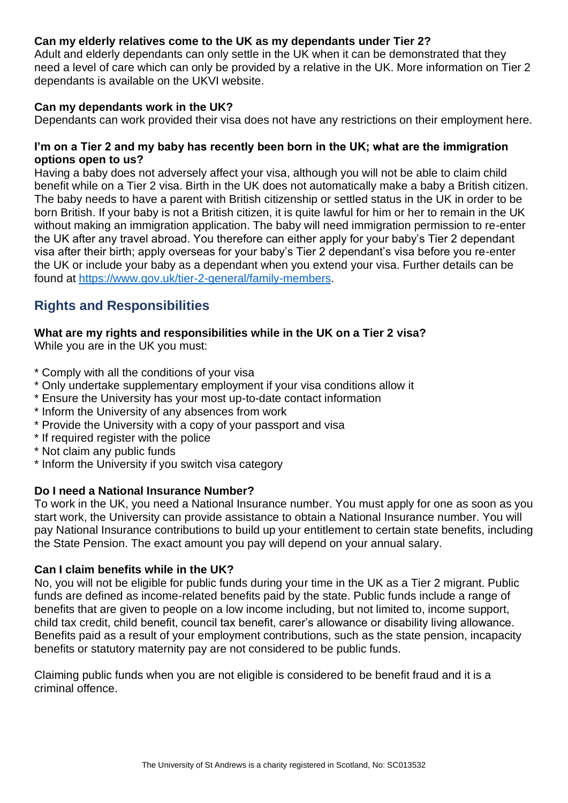# **Can my elderly relatives come to the UK as my dependants under Tier 2?**

Adult and elderly dependants can only settle in the UK when it can be demonstrated that they need a level of care which can only be provided by a relative in the UK. More information on Tier 2 dependants is available on the UKVI website.

# **Can my dependants work in the UK?**

Dependants can work provided their visa does not have any restrictions on their employment here.

# **I'm on a Tier 2 and my baby has recently been born in the UK; what are the immigration options open to us?**

Having a baby does not adversely affect your visa, although you will not be able to claim child benefit while on a Tier 2 visa. Birth in the UK does not automatically make a baby a British citizen. The baby needs to have a parent with British citizenship or settled status in the UK in order to be born British. If your baby is not a British citizen, it is quite lawful for him or her to remain in the UK without making an immigration application. The baby will need immigration permission to re-enter the UK after any travel abroad. You therefore can either apply for your baby's Tier 2 dependant visa after their birth; apply overseas for your baby's Tier 2 dependant's visa before you re-enter the UK or include your baby as a dependant when you extend your visa. Further details can be found at [https://www.gov.uk/tier-2-general/family-members.](https://www.gov.uk/tier-2-general/family-members)

# <span id="page-9-0"></span>**Rights and Responsibilities**

# **What are my rights and responsibilities while in the UK on a Tier 2 visa?**

While you are in the UK you must:

- \* Comply with all the conditions of your visa
- \* Only undertake supplementary employment if your visa conditions allow it
- \* Ensure the University has your most up-to-date contact information
- \* Inform the University of any absences from work
- \* Provide the University with a copy of your passport and visa
- \* If required register with the police
- \* Not claim any public funds
- \* Inform the University if you switch visa category

# **Do I need a National Insurance Number?**

To work in the UK, you need a National Insurance number. You must apply for one as soon as you start work, the University can provide assistance to obtain a National Insurance number. You will pay National Insurance contributions to build up your entitlement to certain state benefits, including the State Pension. The exact amount you pay will depend on your annual salary.

#### **Can I claim benefits while in the UK?**

No, you will not be eligible for public funds during your time in the UK as a Tier 2 migrant. Public funds are defined as income-related benefits paid by the state. Public funds include a range of benefits that are given to people on a low income including, but not limited to, income support, child tax credit, child benefit, council tax benefit, carer's allowance or disability living allowance. Benefits paid as a result of your employment contributions, such as the state pension, incapacity benefits or statutory maternity pay are not considered to be public funds.

Claiming public funds when you are not eligible is considered to be benefit fraud and it is a criminal offence.